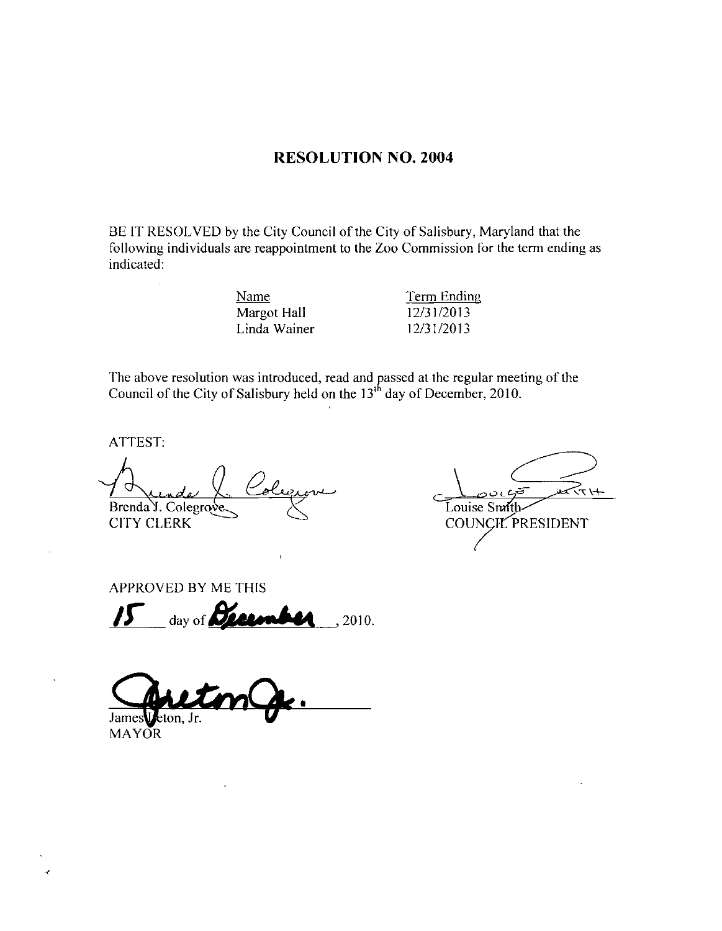# RESOLUTION NO. 2004

BE IT RESOLVED by the City Council of the City of Salisbury, Maryland that the following individuals are reappointment to the Zoo Commission for the term ending as indicated

| Term Ending |
|-------------|
| 12/31/2013  |
| 12/31/2013  |
|             |

The above resolution was introduced, read and passed at the regular meeting of the Council of the City of Salisbury held on the  $13<sup>th</sup>$  day of December, 2010.

ATTEST

Brenda **T** Quade<br>Brenda J. Cole<br>CITY CLERK nder ()<br>Colegrave The above resolution was introduced, read and<br>
Council of the City of Salisbury held on the 13<br>
TITTEST:<br>
TITTEST:<br>
PROVED BY ME THIS<br>
PROVED BY ME THIS<br>
PROVED BY ME THIS<br>
PROVED BY ME THIS<br>
PROVED BY ME THIS<br>
PROVED BY M

نعتر تر ہوا Louise Smi COUNCIL PRESIDENT

APPROVED BY ME THIS

James**U** eton, Jr.

MAYOR

Ń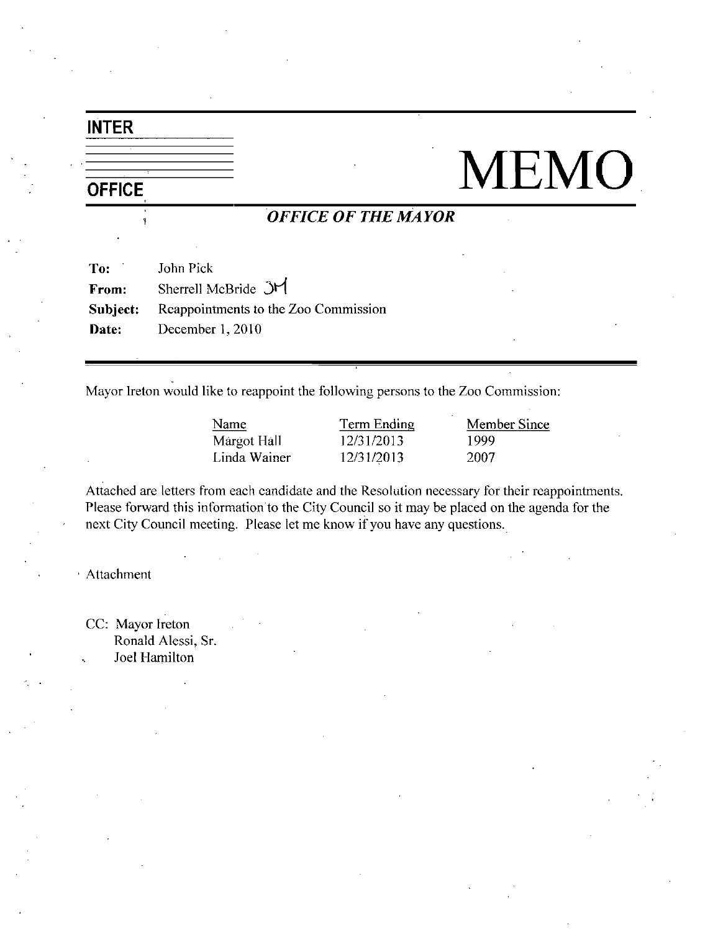# INTER

# $\frac{\frac{\text{INTER}}{\text{OFFICE}}}{\frac{\text{OFFICE}}{\text{OFFICE OF THE MAYOR}}}\text{MEMO}$

# OFFICE OF THE MAYOR

| To:      | John Pick                            |
|----------|--------------------------------------|
| From:    | Sherrell McBride JM                  |
| Subject: | Reappointments to the Zoo Commission |
| Date:    | December $1,2010$                    |

Mayor Ireton would like to reappoint the following persons to the Zoo Commission:

<u>Name</u> Term Ending Mem<br>
Margot Hall 12/31/2013 1999<br>
Linda Wainer 12/31/2013 2007 12/31/2013 Margot Hall 12/31/2013 1999<br>
Linda Wainer 12/31/2013 2007

Name Term Ending Member Since

Attached are letters from each candidate and the Resolution necessary for their reappointments Margot Hall 12/31/2013 1999<br>Linda Wainer 12/31/2013 2007<br>Attached are letters from each candidate and the Resolution necessary for their reappointmen<br>Please forward this information to the City Council so it may be placed next City Council meeting. Please let me know if you have any questions.

Attachment

CC: Mayor Ireton Ronald Alessi, Sr. Joel Hamilton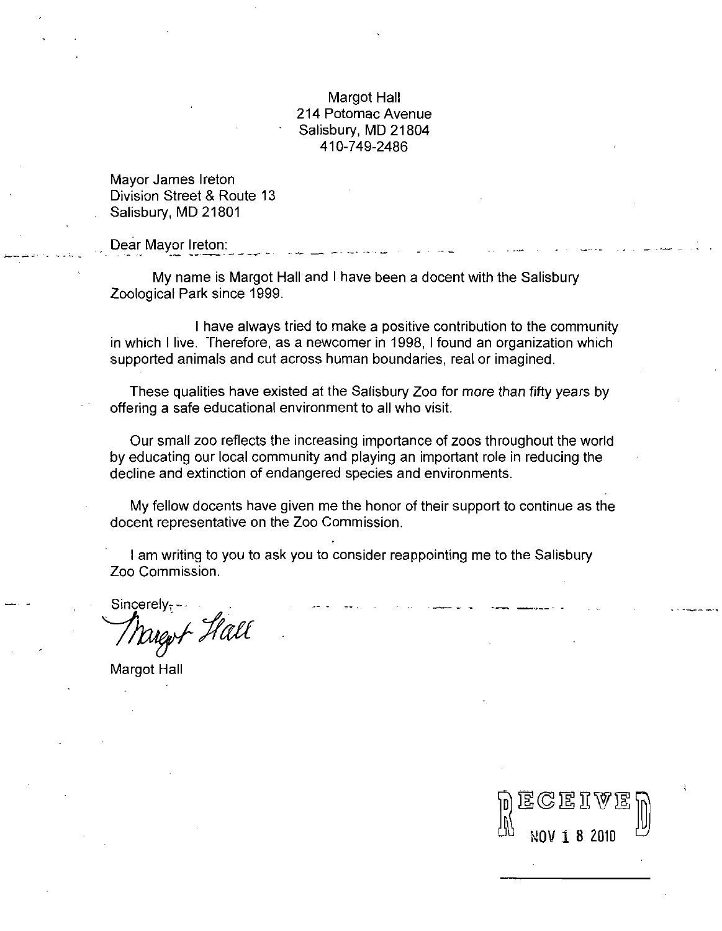# Margot Hall 214 Potomac Avenue Salisbury, MD 21804 410-749-2486

Mayor James Ireton Division Street & Route 13 Salisbury, MD 21801

Dear Mayor Ireton

My name is Margot Hall and <sup>I</sup> have been <sup>a</sup> docent with the Salisbury Zoological Park since 1999

I have always tried to make a positive contribution to the community<br>in which I live. Therefore, as a newcomer in 1998, I found an organization which supported animals and cut across human boundaries, real or imagined.

These qualities have existed at the Salisbury Zoo for more than fifty years by offering <sup>a</sup> safe educational environment to all who visit

Our small zoo reflects the increasing importance of zoos throughout the world by educating our local community and playing an important role in reducing the decline and extinction of endangered species and environments

My fellow docents have given me the honor of their support to continue as the docent representative on the Zoo Commission

am writing to you to ask you to consider reappointing me to the Salisbury Zoo Commission

Sincerely-L Hall

Margot Hall